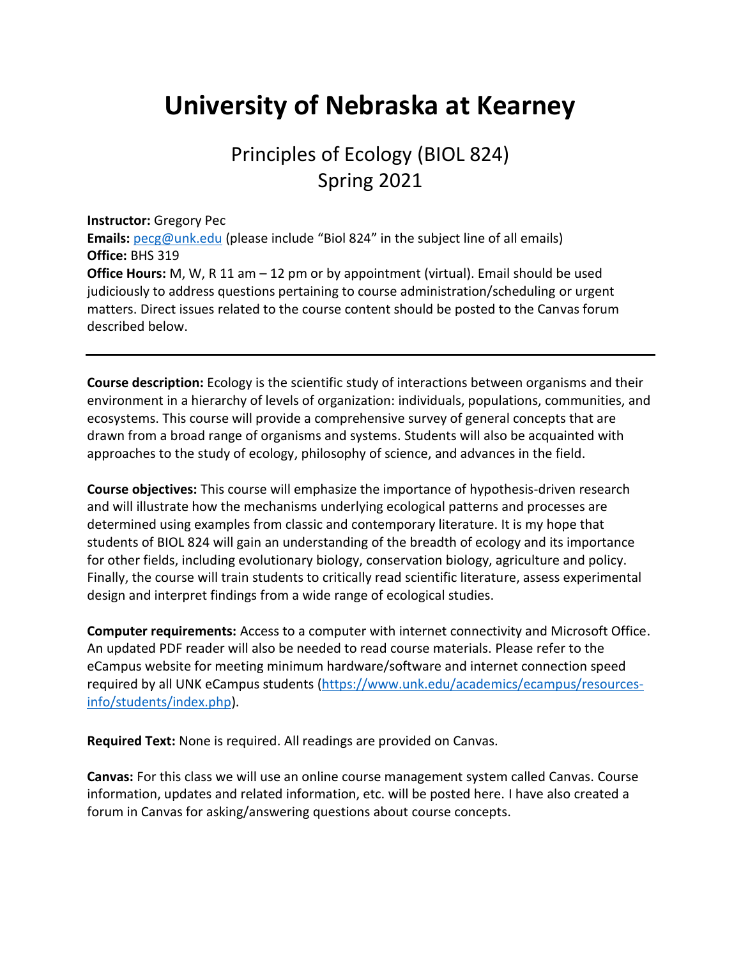## **University of Nebraska at Kearney**

## Principles of Ecology (BIOL 824) Spring 2021

**Instructor:** Gregory Pec

**Emails:** [pecg@unk.edu](mailto:pecg@unk.edu) (please include "Biol 824" in the subject line of all emails) **Office:** BHS 319

**Office Hours:** M, W, R 11 am – 12 pm or by appointment (virtual). Email should be used judiciously to address questions pertaining to course administration/scheduling or urgent matters. Direct issues related to the course content should be posted to the Canvas forum described below.

**Course description:** Ecology is the scientific study of interactions between organisms and their environment in a hierarchy of levels of organization: individuals, populations, communities, and ecosystems. This course will provide a comprehensive survey of general concepts that are drawn from a broad range of organisms and systems. Students will also be acquainted with approaches to the study of ecology, philosophy of science, and advances in the field.

**Course objectives:** This course will emphasize the importance of hypothesis-driven research and will illustrate how the mechanisms underlying ecological patterns and processes are determined using examples from classic and contemporary literature. It is my hope that students of BIOL 824 will gain an understanding of the breadth of ecology and its importance for other fields, including evolutionary biology, conservation biology, agriculture and policy. Finally, the course will train students to critically read scientific literature, assess experimental design and interpret findings from a wide range of ecological studies.

**Computer requirements:** Access to a computer with internet connectivity and Microsoft Office. An updated PDF reader will also be needed to read course materials. Please refer to the eCampus website for meeting minimum hardware/software and internet connection speed required by all UNK eCampus students [\(https://www.unk.edu/academics/ecampus/resources](https://www.unk.edu/academics/ecampus/resources-info/students/index.php)[info/students/index.php\)](https://www.unk.edu/academics/ecampus/resources-info/students/index.php).

**Required Text:** None is required. All readings are provided on Canvas.

**Canvas:** For this class we will use an online course management system called Canvas. Course information, updates and related information, etc. will be posted here. I have also created a forum in Canvas for asking/answering questions about course concepts.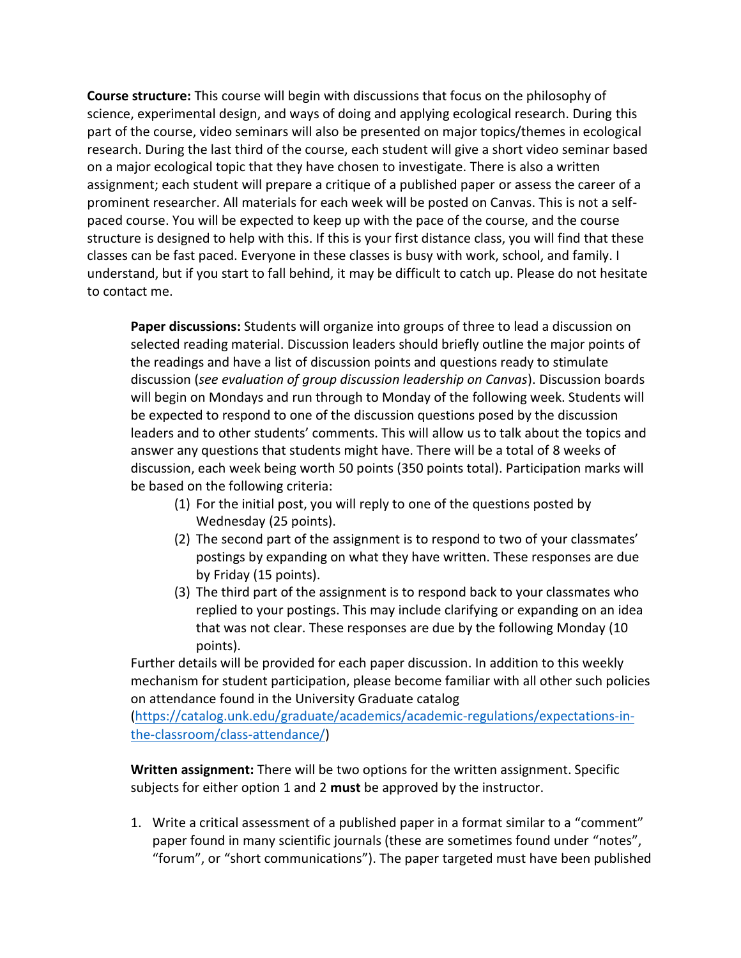**Course structure:** This course will begin with discussions that focus on the philosophy of science, experimental design, and ways of doing and applying ecological research. During this part of the course, video seminars will also be presented on major topics/themes in ecological research. During the last third of the course, each student will give a short video seminar based on a major ecological topic that they have chosen to investigate. There is also a written assignment; each student will prepare a critique of a published paper or assess the career of a prominent researcher. All materials for each week will be posted on Canvas. This is not a selfpaced course. You will be expected to keep up with the pace of the course, and the course structure is designed to help with this. If this is your first distance class, you will find that these classes can be fast paced. Everyone in these classes is busy with work, school, and family. I understand, but if you start to fall behind, it may be difficult to catch up. Please do not hesitate to contact me.

**Paper discussions:** Students will organize into groups of three to lead a discussion on selected reading material. Discussion leaders should briefly outline the major points of the readings and have a list of discussion points and questions ready to stimulate discussion (*see evaluation of group discussion leadership on Canvas*). Discussion boards will begin on Mondays and run through to Monday of the following week. Students will be expected to respond to one of the discussion questions posed by the discussion leaders and to other students' comments. This will allow us to talk about the topics and answer any questions that students might have. There will be a total of 8 weeks of discussion, each week being worth 50 points (350 points total). Participation marks will be based on the following criteria:

- (1) For the initial post, you will reply to one of the questions posted by Wednesday (25 points).
- (2) The second part of the assignment is to respond to two of your classmates' postings by expanding on what they have written. These responses are due by Friday (15 points).
- (3) The third part of the assignment is to respond back to your classmates who replied to your postings. This may include clarifying or expanding on an idea that was not clear. These responses are due by the following Monday (10 points).

Further details will be provided for each paper discussion. In addition to this weekly mechanism for student participation, please become familiar with all other such policies on attendance found in the University Graduate catalog

[\(https://catalog.unk.edu/graduate/academics/academic-regulations/expectations-in](https://catalog.unk.edu/graduate/academics/academic-regulations/expectations-in-the-classroom/class-attendance/)[the-classroom/class-attendance/\)](https://catalog.unk.edu/graduate/academics/academic-regulations/expectations-in-the-classroom/class-attendance/)

**Written assignment:** There will be two options for the written assignment. Specific subjects for either option 1 and 2 **must** be approved by the instructor.

1. Write a critical assessment of a published paper in a format similar to a "comment" paper found in many scientific journals (these are sometimes found under "notes", "forum", or "short communications"). The paper targeted must have been published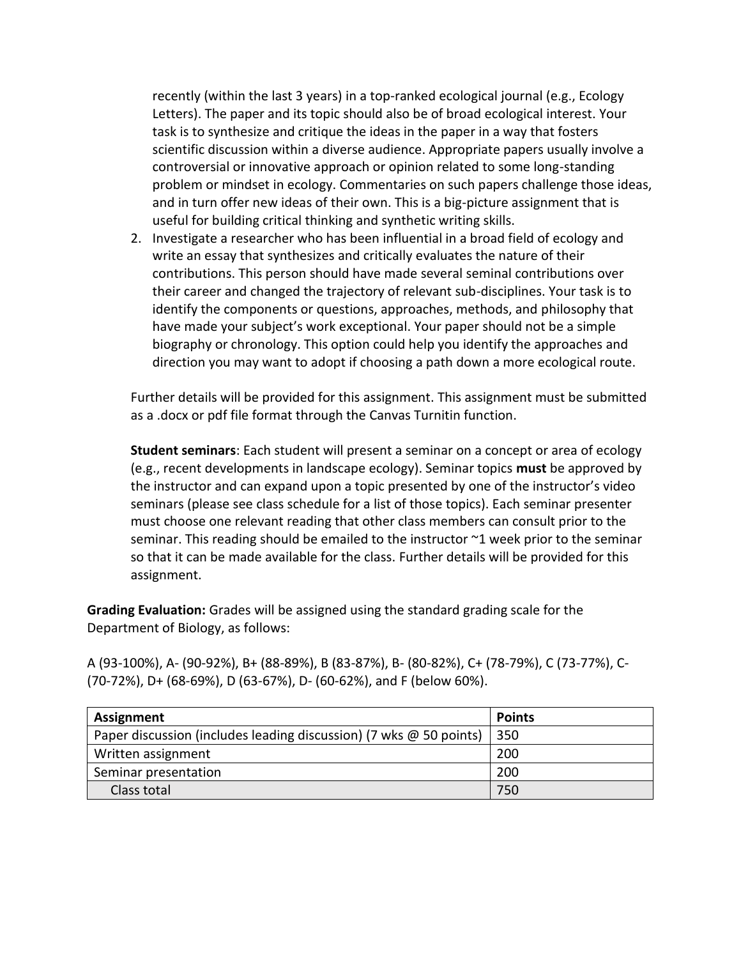recently (within the last 3 years) in a top-ranked ecological journal (e.g., Ecology Letters). The paper and its topic should also be of broad ecological interest. Your task is to synthesize and critique the ideas in the paper in a way that fosters scientific discussion within a diverse audience. Appropriate papers usually involve a controversial or innovative approach or opinion related to some long-standing problem or mindset in ecology. Commentaries on such papers challenge those ideas, and in turn offer new ideas of their own. This is a big-picture assignment that is useful for building critical thinking and synthetic writing skills.

2. Investigate a researcher who has been influential in a broad field of ecology and write an essay that synthesizes and critically evaluates the nature of their contributions. This person should have made several seminal contributions over their career and changed the trajectory of relevant sub-disciplines. Your task is to identify the components or questions, approaches, methods, and philosophy that have made your subject's work exceptional. Your paper should not be a simple biography or chronology. This option could help you identify the approaches and direction you may want to adopt if choosing a path down a more ecological route.

Further details will be provided for this assignment. This assignment must be submitted as a .docx or pdf file format through the Canvas Turnitin function.

**Student seminars**: Each student will present a seminar on a concept or area of ecology (e.g., recent developments in landscape ecology). Seminar topics **must** be approved by the instructor and can expand upon a topic presented by one of the instructor's video seminars (please see class schedule for a list of those topics). Each seminar presenter must choose one relevant reading that other class members can consult prior to the seminar. This reading should be emailed to the instructor ~1 week prior to the seminar so that it can be made available for the class. Further details will be provided for this assignment.

**Grading Evaluation:** Grades will be assigned using the standard grading scale for the Department of Biology, as follows:

A (93-100%), A- (90-92%), B+ (88-89%), B (83-87%), B- (80-82%), C+ (78-79%), C (73-77%), C- (70-72%), D+ (68-69%), D (63-67%), D- (60-62%), and F (below 60%).

| Assignment                                                                | <b>Points</b> |
|---------------------------------------------------------------------------|---------------|
| Paper discussion (includes leading discussion) (7 wks $\omega$ 50 points) | 350           |
| Written assignment                                                        | 200           |
| Seminar presentation                                                      | 200           |
| Class total                                                               | 750           |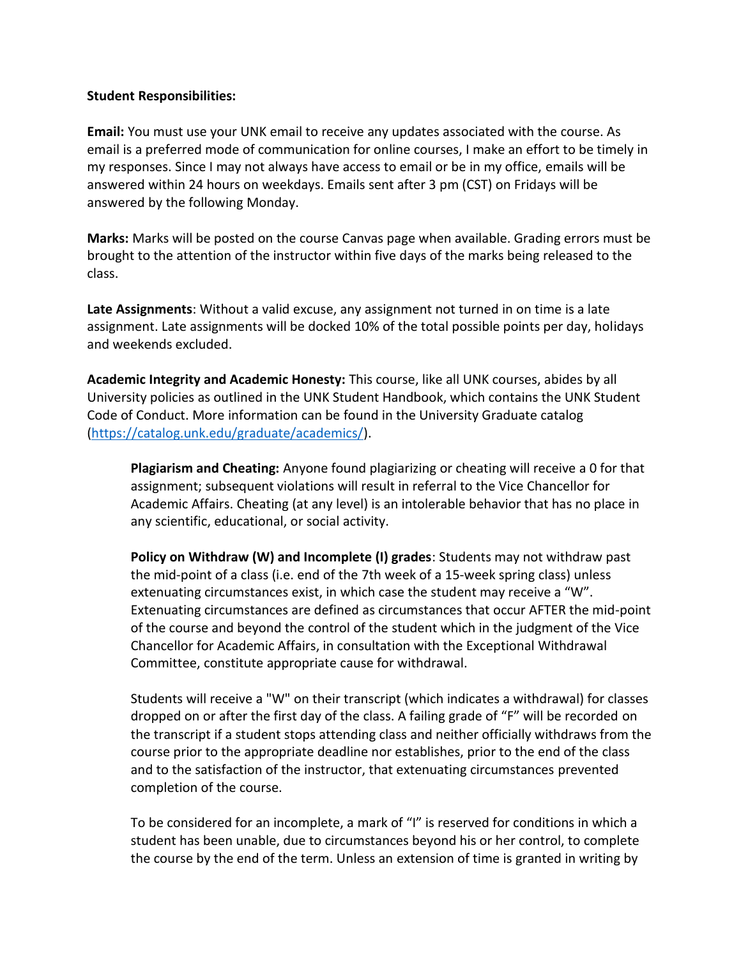## **Student Responsibilities:**

**Email:** You must use your UNK email to receive any updates associated with the course. As email is a preferred mode of communication for online courses, I make an effort to be timely in my responses. Since I may not always have access to email or be in my office, emails will be answered within 24 hours on weekdays. Emails sent after 3 pm (CST) on Fridays will be answered by the following Monday.

**Marks:** Marks will be posted on the course Canvas page when available. Grading errors must be brought to the attention of the instructor within five days of the marks being released to the class.

**Late Assignments**: Without a valid excuse, any assignment not turned in on time is a late assignment. Late assignments will be docked 10% of the total possible points per day, holidays and weekends excluded.

**Academic Integrity and Academic Honesty:** This course, like all UNK courses, abides by all University policies as outlined in the UNK Student Handbook, which contains the UNK Student Code of Conduct. More information can be found in the University Graduate catalog [\(https://catalog.unk.edu/graduate/academics/\)](https://catalog.unk.edu/graduate/academics/).

**Plagiarism and Cheating:** Anyone found plagiarizing or cheating will receive a 0 for that assignment; subsequent violations will result in referral to the Vice Chancellor for Academic Affairs. Cheating (at any level) is an intolerable behavior that has no place in any scientific, educational, or social activity.

**Policy on Withdraw (W) and Incomplete (I) grades**: Students may not withdraw past the mid-point of a class (i.e. end of the 7th week of a 15-week spring class) unless extenuating circumstances exist, in which case the student may receive a "W". Extenuating circumstances are defined as circumstances that occur AFTER the mid-point of the course and beyond the control of the student which in the judgment of the Vice Chancellor for Academic Affairs, in consultation with the Exceptional Withdrawal Committee, constitute appropriate cause for withdrawal.

Students will receive a "W" on their transcript (which indicates a withdrawal) for classes dropped on or after the first day of the class. A failing grade of "F" will be recorded on the transcript if a student stops attending class and neither officially withdraws from the course prior to the appropriate deadline nor establishes, prior to the end of the class and to the satisfaction of the instructor, that extenuating circumstances prevented completion of the course.

To be considered for an incomplete, a mark of "I" is reserved for conditions in which a student has been unable, due to circumstances beyond his or her control, to complete the course by the end of the term. Unless an extension of time is granted in writing by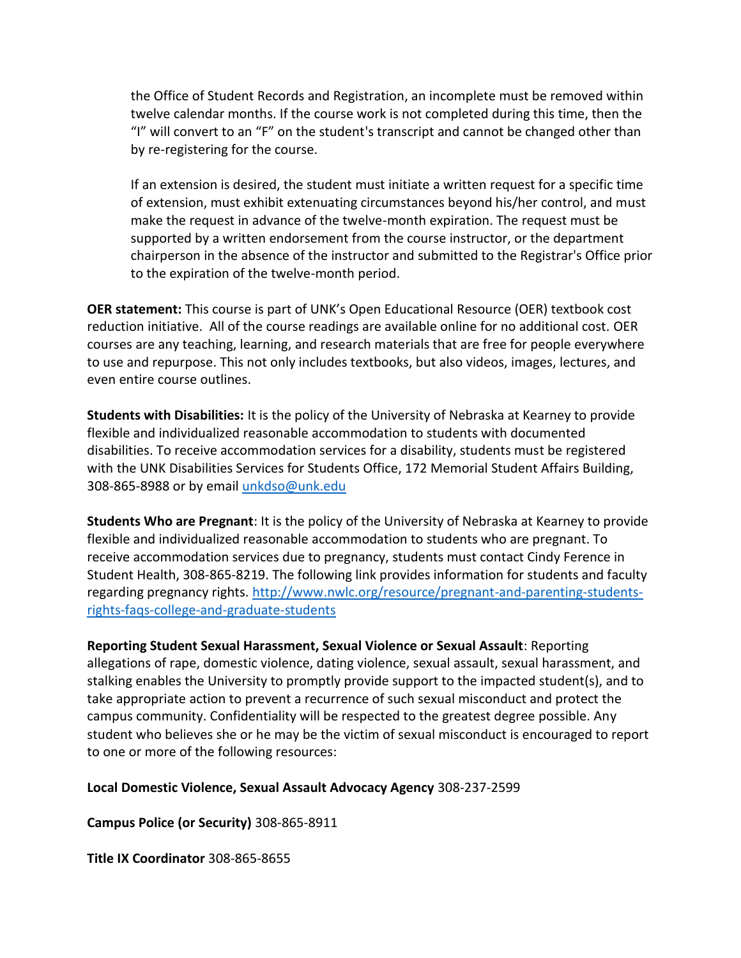the Office of Student Records and Registration, an incomplete must be removed within twelve calendar months. If the course work is not completed during this time, then the "I" will convert to an "F" on the student's transcript and cannot be changed other than by re-registering for the course.

If an extension is desired, the student must initiate a written request for a specific time of extension, must exhibit extenuating circumstances beyond his/her control, and must make the request in advance of the twelve-month expiration. The request must be supported by a written endorsement from the course instructor, or the department chairperson in the absence of the instructor and submitted to the Registrar's Office prior to the expiration of the twelve-month period.

**OER statement:** This course is part of UNK's Open Educational Resource (OER) textbook cost reduction initiative. All of the course readings are available online for no additional cost. OER courses are any teaching, learning, and research materials that are free for people everywhere to use and repurpose. This not only includes textbooks, but also videos, images, lectures, and even entire course outlines.

**Students with Disabilities:** It is the policy of the University of Nebraska at Kearney to provide flexible and individualized reasonable accommodation to students with documented disabilities. To receive accommodation services for a disability, students must be registered with the UNK Disabilities Services for Students Office, 172 Memorial Student Affairs Building, 308-865-8988 or by email [unkdso@unk.edu](mailto:unkdso@unk.edu)

**Students Who are Pregnant**: It is the policy of the University of Nebraska at Kearney to provide flexible and individualized reasonable accommodation to students who are pregnant. To receive accommodation services due to pregnancy, students must contact Cindy Ference in Student Health, 308-865-8219. The following link provides information for students and faculty regarding pregnancy rights. [http://www.nwlc.org/resource/pregnant-and-parenting-students](https://urldefense.proofpoint.com/v2/url?u=http-3A__www.nwlc.org_resource_pregnant-2Dand-2Dparenting-2Dstudents-2Drights-2Dfaqs-2Dcollege-2Dand-2Dgraduate-2Dstudents&d=DwMFAg&c=Cu5g146wZdoqVuKpTNsYHeFX_rg6kWhlkLF8Eft-wwo&r=BJkIhAaMtWY7PlqIhIOyVw&m=RgBL3s2VNHfvD5ReMK2q_PhwYU8dbEt1vxs1BO4WkpQ&s=MmB91XAzaW-E7UPMXPGx9tWJQbTWJYyYzM8gLjhEzQ0&e=)[rights-faqs-college-and-graduate-students](https://urldefense.proofpoint.com/v2/url?u=http-3A__www.nwlc.org_resource_pregnant-2Dand-2Dparenting-2Dstudents-2Drights-2Dfaqs-2Dcollege-2Dand-2Dgraduate-2Dstudents&d=DwMFAg&c=Cu5g146wZdoqVuKpTNsYHeFX_rg6kWhlkLF8Eft-wwo&r=BJkIhAaMtWY7PlqIhIOyVw&m=RgBL3s2VNHfvD5ReMK2q_PhwYU8dbEt1vxs1BO4WkpQ&s=MmB91XAzaW-E7UPMXPGx9tWJQbTWJYyYzM8gLjhEzQ0&e=)

**Reporting Student Sexual Harassment, Sexual Violence or Sexual Assault**: Reporting allegations of rape, domestic violence, dating violence, sexual assault, sexual harassment, and stalking enables the University to promptly provide support to the impacted student(s), and to take appropriate action to prevent a recurrence of such sexual misconduct and protect the campus community. Confidentiality will be respected to the greatest degree possible. Any student who believes she or he may be the victim of sexual misconduct is encouraged to report to one or more of the following resources:

**Local Domestic Violence, Sexual Assault Advocacy Agency** 308-237-2599

**Campus Police (or Security)** 308-865-8911

**Title IX Coordinator** 308-865-8655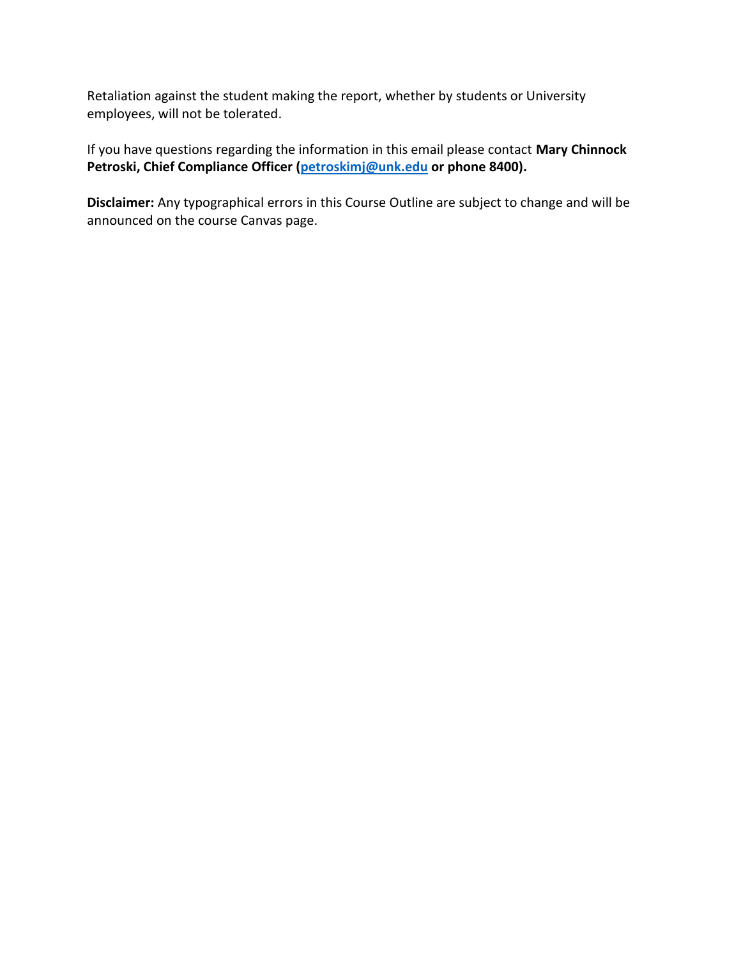Retaliation against the student making the report, whether by students or University employees, will not be tolerated.

If you have questions regarding the information in this email please contact **Mary Chinnock Petroski, Chief Compliance Officer [\(petroskimj@unk.edu](mailto:petroskimj@unk.edu) or phone 8400).**

**Disclaimer:** Any typographical errors in this Course Outline are subject to change and will be announced on the course Canvas page.